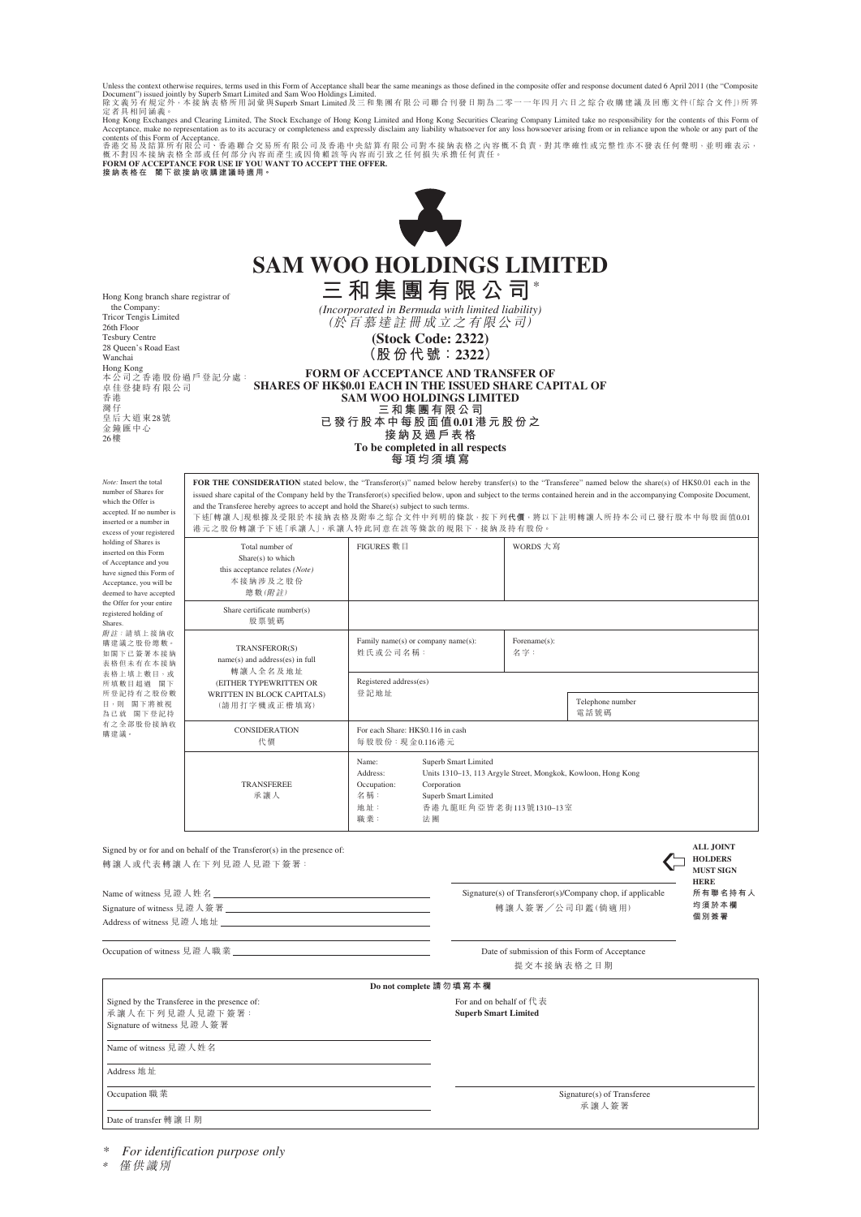Unless the context otherwise requires, terms used in this Form of Acceptance shall bear the same meanings as those defined in the composite offer and response document dated 6 April 2011 (the "Composite<br>Document") issued

Hong Kong Exchanges and Clearing Limited, The Stock Exchange of Hong Kong Limited and Hong Kong Scentius Clearing Company Limited take no responsibility for the contents of this Form of<br>Acceptance, make no representation



# **SAM WOO HOLDINGS LIMITED 三和集團有限公司**\*

*(Incorporated in Bermuda with limited liability)* (於百慕達註冊成立之有限公司) **(Stock Code: 2322) (股份代號:2322)**

Hong Kong branch share registrar of the Company: Tricor Tengis Limited 26th Floor Tesbury Centre 28 Queen's Road East Wanchai Hong Kong 本公司之香港股份過戶登記分處: 卓佳登捷時有限公司 香港 灣仔 皇后大道東28號 金鐘匯中心 26樓

| <b>FORM OF ACCEPTANCE AND TRANSFER OF</b>         |
|---------------------------------------------------|
| S OF HK\$0.01 EACH IN THE ISSUED SHARE CAPITAL OF |
| <b>SAM WOO HOLDINGS LIMITED</b>                   |
| 三和集團有限公司                                          |
| 已 發 行 股 本 中 每 股 面 值 0.01 港 元 股 份 之                |
| 接 紈 及 過 戶 表 格                                     |
| To be completed in all respects                   |
| <i>E</i> ******                                   |

**每項均須填寫**

*Note:* Insert the total number of Shares for which the Offer is accepted. If no number is inserted or a number in excess of your register holdin<sup>g</sup> inserte of Acc have s Accept deeme the Off registe Shares. 附註 職建計 知閣 表格/ 一支格 所填制 所登言 日,則 為已就 有之 "<br>購建計

FOR THE CONSIDERATION stated below, the "Transferor(s)" named below hereby transfer(s) to the "Transferee" named below the share(s) of HK\$0.01 each in the issued share capital of the Company held by the Transferor(s) specified below, upon and subject to the terms contained herein and in the accompanying Composite Document, and the Transferee hereby agrees to accept and hold the Share(s) subject to such terms. 下述「轉讓人」現根據及受限於本接納表格及附奉之綜合文件中列明的條款,按下列**代價**,將以下註明轉讓人所持本公司已發行股本中每股面值0.01 港元之股份轉讓予下述「承讓人」,承讓人特此同意在該等條款的規限下,接納及持有股份。

| g of Shares is<br>d on this Form<br>eptance and you<br>igned this Form of<br>tance, you will be<br>d to have accepted<br>fer for your entire<br>red holding of<br>請填上接納收<br>義之股份總數。<br>下已簽署本接納<br>旦未有在本接纳<br>上填上數目,或<br>收目超過 閣下<br>记持有之股份數<br>閣下將被視<br>忧 閣下登記持<br>全部股份接纳收<br>叢。 | Total number of<br>Share(s) to which<br>this acceptance relates (Note)<br>本接纳涉及之股份<br>總數(附註)                                         | FIGURES 數目                                                                                                                                                                                                            |  | WORDS 大寫            |                          |  |
|---------------------------------------------------------------------------------------------------------------------------------------------------------------------------------------------------------------------------------------------------------------------------------|--------------------------------------------------------------------------------------------------------------------------------------|-----------------------------------------------------------------------------------------------------------------------------------------------------------------------------------------------------------------------|--|---------------------|--------------------------|--|
|                                                                                                                                                                                                                                                                                 | Share certificate number(s)<br>股票號碼                                                                                                  |                                                                                                                                                                                                                       |  |                     |                          |  |
|                                                                                                                                                                                                                                                                                 | TRANSFEROR(S)<br>name(s) and address(es) in full<br>轉讓人全名及地址<br>(EITHER TYPEWRITTEN OR<br>WRITTEN IN BLOCK CAPITALS)<br>(請用打字機或正楷填寫) | Family name(s) or company name(s):<br>姓氏或公司名稱:                                                                                                                                                                        |  | Forename(s):<br>名字: |                          |  |
|                                                                                                                                                                                                                                                                                 |                                                                                                                                      | Registered address(es)                                                                                                                                                                                                |  |                     |                          |  |
|                                                                                                                                                                                                                                                                                 |                                                                                                                                      | 登記地址                                                                                                                                                                                                                  |  |                     | Telephone number<br>電話號碼 |  |
|                                                                                                                                                                                                                                                                                 | <b>CONSIDERATION</b><br>代價                                                                                                           | For each Share: HK\$0.116 in cash<br>每股股份: 現金0.116港元                                                                                                                                                                  |  |                     |                          |  |
|                                                                                                                                                                                                                                                                                 | <b>TRANSFEREE</b><br>承讓人                                                                                                             | Superb Smart Limited<br>Name:<br>Units 1310–13, 113 Argyle Street, Mongkok, Kowloon, Hong Kong<br>Address:<br>Corporation<br>Occupation:<br>名稱:<br>Superb Smart Limited<br>地址:<br>香港九龍旺角亞皆老街113號1310-13室<br>職業:<br>法團 |  |                     |                          |  |

Signed by or for and on behalf of the Transferor(s) in the presence of: **ALL JOINT ALL JOINT ALL JOINT ALL JOINT** 轉讓人或代表轉讓人在下列見證人見證下簽署:

| Signed by or for and on behalf of the Transferor(s) in the presence of: |                                                           |
|-------------------------------------------------------------------------|-----------------------------------------------------------|
| 轉讓人或代表轉讓人在下列見證人見證下簽署:                                                   |                                                           |
| Name of witness 見證人姓名                                                   | Signature(s) of Transferor(s)/Company chop, if applicable |
|                                                                         | 轉讓人簽署/公司印鑑(倘適用)                                           |

**HOLDERS MUST SIGN HERE 所有聯名持有人 均須於本欄 個別簽署**

Signature of witness 見證人簽署 Address of witness 見證人地址

Occupation of witness 見證人職業 Date of submission of this Form of Acceptance

|                                                                                                                        | 提交本接納表格之日期                                                                 |  |  |  |  |  |
|------------------------------------------------------------------------------------------------------------------------|----------------------------------------------------------------------------|--|--|--|--|--|
| Do not complete 請勿填寫本欄                                                                                                 |                                                                            |  |  |  |  |  |
| Signed by the Transferee in the presence of:<br>承讓人在下列見證人見證下簽署:<br>Signature of witness 見證人簽署<br>Name of witness 見證人姓名 | For and on behalf of $f \ddot{\mathcal{R}}$<br><b>Superb Smart Limited</b> |  |  |  |  |  |
| Address 地址                                                                                                             |                                                                            |  |  |  |  |  |
| Occupation 職業                                                                                                          | Signature(s) of Transferee<br>承讓人簽署                                        |  |  |  |  |  |
| Date of transfer 轉 讓 日 期                                                                                               |                                                                            |  |  |  |  |  |

*\* For identification purpose only*

\* 僅供識別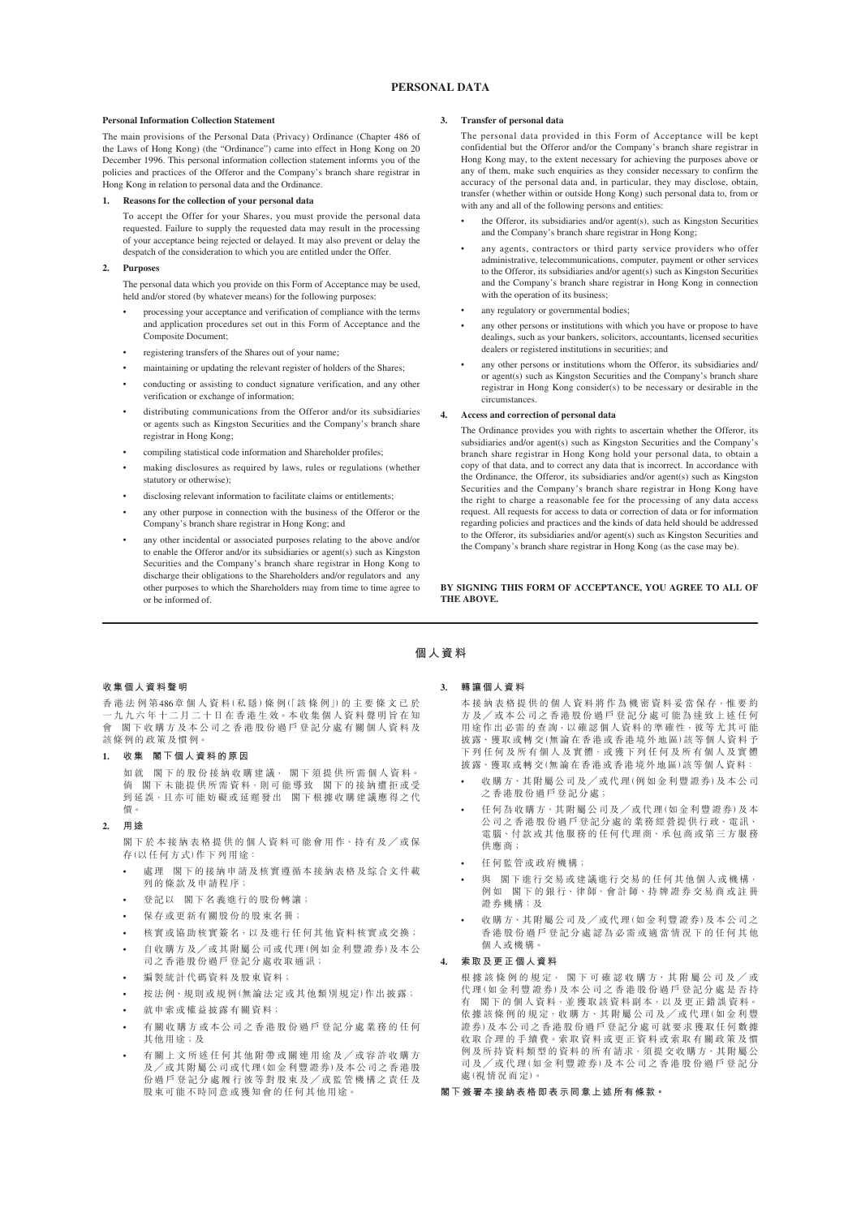# **PERSONAL DATA**

#### **Personal Information Collection Statement**

The main provisions of the Personal Data (Privacy) Ordinance (Chapter 486 of the Laws of Hong Kong) (the "Ordinance") came into effect in Hong Kong on 20 December 1996. This personal information collection statement informs you of the policies and practices of the Offeror and the Company's branch share registrar in Hong Kong in relation to personal data and the Ordinance.

# **1. Reasons for the collection of your personal data**

To accept the Offer for your Shares, you must provide the personal data requested. Failure to supply the requested data may result in the processing of your acceptance being rejected or delayed. It may also prevent or delay the despatch of the consideration to which you are entitled under the Offer.

# **2. Purposes**

The personal data which you provide on this Form of Acceptance may be used, held and/or stored (by whatever means) for the following purposes

- processing your acceptance and verification of compliance with the terms and application procedures set out in this Form of Acceptance and the Composite Document;
- registering transfers of the Shares out of your name;
- maintaining or updating the relevant register of holders of the Shares;
- conducting or assisting to conduct signature verification, and any other verification or exchange of information;
- distributing communications from the Offeror and/or its subsidiaries or agents such as Kingston Securities and the Company's branch share registrar in Hong Kong;
- compiling statistical code information and Shareholder profiles;
- making disclosures as required by laws, rules or regulations (whether statutory or otherwise);
- disclosing relevant information to facilitate claims or entitlements;
- any other purpose in connection with the business of the Offeror or the Company's branch share registrar in Hong Kong; and
- any other incidental or associated purposes relating to the above and/or to enable the Offeror and/or its subsidiaries or agent(s) such as Kingston Securities and the Company's branch share registrar in Hong Kong to discharge their obligations to the Shareholders and/or regulators and any other purposes to which the Shareholders may from time to time agree to or be informed of.

### **3. Transfer of personal data**

The personal data provided in this Form of Acceptance will be kept confidential but the Offeror and/or the Company's branch share registrar in Hong Kong may, to the extent necessary for achieving the purposes above or any of them, make such enquiries as they consider necessary to confirm the accuracy of the personal data and, in particular, they may disclose, obtain, transfer (whether within or outside Hong Kong) such personal data to, from or with any and all of the following persons and entities:

- the Offeror, its subsidiaries and/or agent(s), such as Kingston Securities and the Company's branch share registrar in Hong Kong;
- any agents, contractors or third party service providers who offer administrative, telecommunications, computer, payment or other services to the Offeror, its subsidiaries and/or agent(s) such as Kingston Securities and the Company's branch share registrar in Hong Kong in connection with the operation of its business;
- any regulatory or governmental bodies;
- any other persons or institutions with which you have or propose to have dealings, such as your bankers, solicitors, accountants, licensed securities dealers or registered institutions in securities; and
- any other persons or institutions whom the Offeror, its subsidiaries and/ or agent(s) such as Kingston Securities and the Company's branch share registrar in Hong Kong consider(s) to be necessary or desirable in the circumstances.

#### **4. Access and correction of personal data**

The Ordinance provides you with rights to ascertain whether the Offeror, its subsidiaries and/or agent(s) such as Kingston Securities and the Company's branch share registrar in Hong Kong hold your personal data, to obtain a copy of that data, and to correct any data that is incorrect. In accordance with the Ordinance, the Offeror, its subsidiaries and/or agent(s) such as Kingston Securities and the Company's branch share registrar in Hong Kong have the right to charge a reasonable fee for the processing of any data access request. All requests for access to data or correction of data or for information regarding policies and practices and the kinds of data held should be addressed to the Offeror, its subsidiaries and/or agent(s) such as Kingston Securities and the Company's branch share registrar in Hong Kong (as the case may be).

**BY SIGNING THIS FORM OF ACCEPTANCE, YOU AGREE TO ALL OF THE ABOVE.**

# **收集個人資料聲明**

香港法例第486章個人資料(私隱)條 例(「該條例」)的主要條文已於 一 九 九 六 年 十 二 月 二 十 日 在 香 港 生 效。本 收 集 個 人 資 料 聲 明 旨 在 知 會 閣下收購方及本公司之香港股份過戶登記分處有關個人資料及 該條例的政策及慣例。

**1. 收集 閣下個人資料的原因**

如就 閣下的股份接納收購建議, 閣下須提供所需個人資料。 倘 閣下未能提供所需資料,則可能導致 閣下的接納遭拒或受 到延誤,且亦可能妨礙或延遲發出 閣下根據收購建議應得之代 價。

**2. 用途**

閣 下 於 本 接 納 表 格 提 供 的 個 人 資 料 可 能 會 用 作、持 有 及 ╱ 或 保 存(以任何方式)作下列用途:

- 處理 閣下的接納申請及核實遵循本接納表格及綜合文件載 列的條款及申請程序;
- 登記以 閣下名義進行的股份轉讓;
- 保存或更新有關股份的股東名冊;
- 核實或協助核實簽名,以及進行任何其他資料核實或交換;
- 自收購方及╱或其附屬公司或代理(例如金利豐證券)及本公 司之香港股份過戶登記分處收取通訊;
- 編製統計代碼資料及股東資料;
- 按法例、規則或規例(無論法定或其他類別規定)作出披露;
- 就申索或權益披露有關資料;
- 有關收購方或本公司之香港股份過戶登記分處業務的任何 其他用途;及
- 有關上文所述任何其他附帶或關連用途及╱或容許收購方 及╱或其附屬公司或代理(如金利豐證券)及本公司之香港股 份過戶登記分處履行彼等對股東及╱或監管機構之責任及 股東可能不時同意或獲知會的任何其他用途。

# **3. 轉讓個人資料**

**個人資料**

本接納表格提供的個人資料將作為機密資料妥當保存,惟要約 方及/或本公司之香港股份過戶登記分處可能為達致上述任何 用途作出必需的查詢,以確認個人資料的準確性,彼等尤其可能 林露、獲取或轉交(無論在香港或香港境外地區)該等個人資料予 下列任何及所有個人及實體,或獲下列任何及所有個人及實體 披露、獲取或轉交(無論在香港或香港境外地區)該等個人資料:

- 收購方、其附屬公司及╱或代理(例如金利豐證券)及本公司 之香港股份過戶登記分處;
- 任何為收購方、其附屬公司及╱或代理(如金利豐證券)及本 公司之香港股份過戶登記分處的業務經營提供行政、電訊、 電腦、付款或其他服務的任何代理商、承包商或第三方服務 供應商;
- 任何監管或政府機構;
- 與 閣下進行交易或建議進行交易的任何其他個人或機構, 例如 閣下的銀行、律師、會計師、持牌證券交易商或註冊 證券機構;及
- 收購方、其附屬公司及╱或代理(如金利豐證券)及本公司之 香港股份過戶登記分處認為必需或適當情況下的任何其他 個人或機構。

# **4. 索取及更正個人資料**

根據該條例的規定, 閣下可確認收購方、其附屬公司及/或 代 理(如金利豐證券)及本公司之香港股份過戶登記分處是否持 有 閣 下 的 個 人 資 料,並 獲 取 該 資 料 副 本,以 及 更 正 錯 誤 資 料。 依據該條例的規定,收購方、其附屬公司及/或代理(如金利豐 證券)及本公司之香港股份過戶登記分處可就要求獲取任何數據 收 取 合 理 的 手 續 費。索 取 資 料 或 更 正 資 料 或 索 取 有 關 政 策 及 慣 例及所持資料類型的資料的所有請求,須提交收購方、其附屬公 司及╱或代理(如金利豐證券)及本公司之香港股份過戶登記分 處(視情況而定)。

**閣下簽署本接納表格即表示同意上述所有條款。**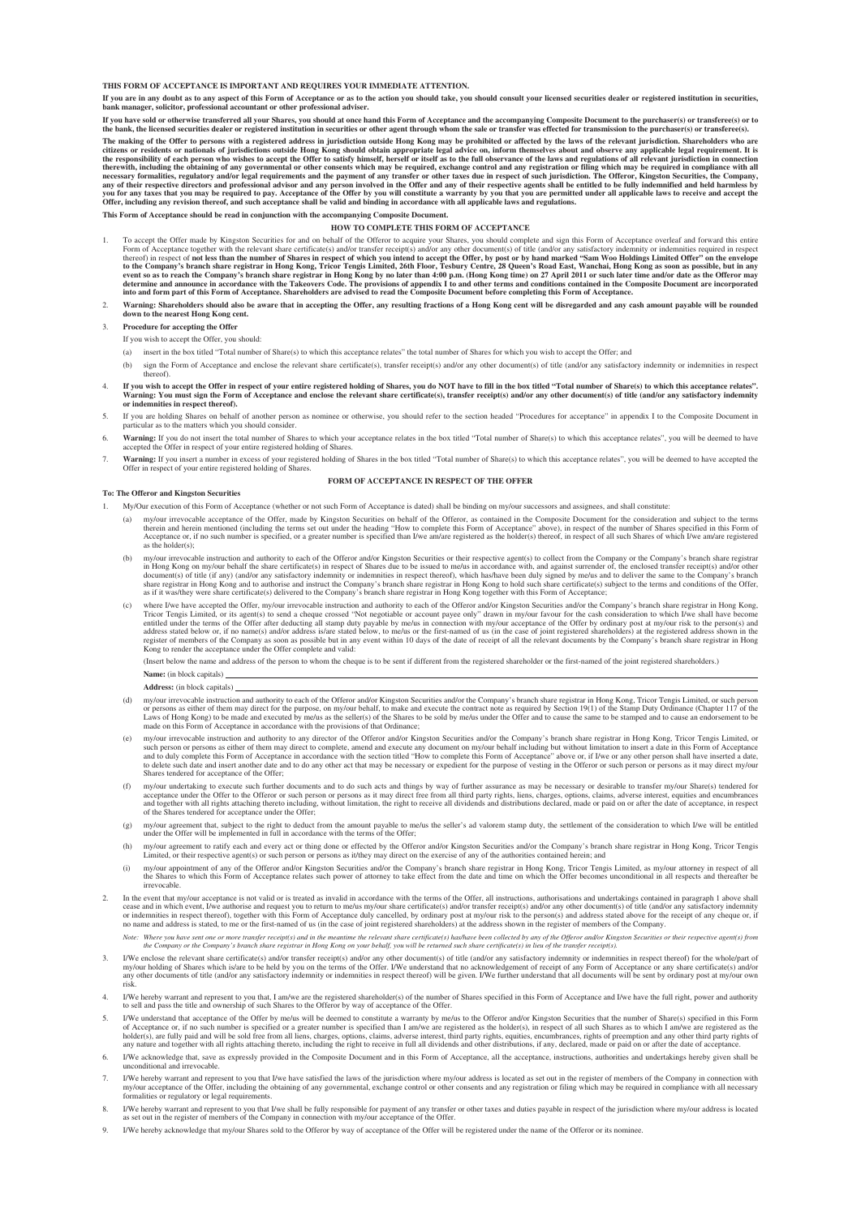**THIS FORM OF ACCEPTANCE IS IMPORTANT AND REQUIRES YOUR IMMEDIATE ATTENTION.**

If you are in any doubt as to any aspect of this Form of Acceptance or as to the action you should take, you should consult your licensed securities dealer or registered institution in securities, **bank manager, solicitor, professional accountant or other professional adviser.**

If you have sold or otherwise transferred all your Shares, you should at once hand this Form of Acceptance and the accompanying Composite Document to the purchaser(s) or transferee(s) or to<br>the bank, the licensed securitie

The making of the Offer to persons with a registered address in jurisdiction outside Hong Kong may be prohibited or affected by the laws of the relevant jurisdiction. Shareholders who are the responsibility of each person

**This Form of Acceptance should be read in conjunction with the accompanying Composite Document.**

#### **HOW TO COMPLETE THIS FORM OF ACCEPTANCE**

- 1. To accept the Offer made by Kingston Securities for and on behalf of the Offeror to acquire your Shares, you should complete and sign this Form of Acceptance overleaf and forward this entire<br>Form of Acceptance together thereof) in respect of not least than the number of Shares in respect of which you intend to accept the Offer, by post or by hand marked Offers" on the envelope to the Company's branch share registrar in Hong Kong, Tricor
- Warning: Shareholders should also be aware that in accepting the Offer, any resulting fractions of a Hong Kong cent will be disregarded and any cash amount payable will be rounded **down to the nearest Hong Kong cent.**
- 3. **Procedure for accepting the Offer**

If you wish to accept the Offer, you should:

- (a) insert in the box titled "Total number of Share(s) to which this acceptance relates" the total number of Shares for which you wish to accept the Offer; and
- (b) sign the Form of Acceptance and enclose the relevant share certificate(s), transfer receipt(s) and/or any other document(s) of title (and/or any satisfactory indemnity or indemnities in respect thereof).
- . If you wish to accept the Offer in respect of your entire registered holding of Shares, you do NOT have to fill in the box titled "Total number of Share(s) to which this acceptance relates".<br>Warning: You must sign the Fo
- 5. If you are holding Shares on behalf of another person as nominee or otherwise, you should refer to the section headed "Procedures for acceptance" in appendix I to the Composite Document in particular as to the matters w
- 6. Warning: If you do not insert the total number of Shares to which your acceptance relates in the box titled "Total number of Share(s) to which this acceptance relates", you will be deemed to have accepted the Offer in r
- 7. **Warning:** If you insert a number in excess of your registered holding of Shares in the box titled "Total number of Share(s) to which this acceptance relates", you will be deemed to have accepted the Offer in respect of your entire registered holding of Shares. **FORM OF ACCEPTANCE IN RESPECT OF THE OFFER**

#### **To: The Offeror and Kingston Securities**

My/Our execution of this Form of Acceptance (whether or not such Form of Acceptance is dated) shall be binding on my/our successors and assignees, and shall constitute

- my/our irrevocable acceptance of the Offer, made by Kingston Securities on behalf of the Offeror, as contained in the Composite Document for the consideration and subject to the terms of the Offer, made by Kingston Securit as the holder(s);
- (b) my/our irrevocable instruction and authority to each of the Offeror and/or Kingston Securities or their respective agent(s) to collect from the Company or the Company is branch share registrar in Hong Kong bon my/our b
- (c) where I/we have accepted the Offer, my/our irrevocable instruction and authority to each of the Offeror and/or Kingston Securities and/or the Company's branch share registrar in Hong Kong, Tricor Tengis Limited under t

(Insert below the name and address of the person to whom the cheque is to be sent if different from the registered shareholder or the first-named of the joint registered shareholders.)

- **Name:** (in block capitals) **Address:** (in block capitals)
- (d) my/our irrevocable instruction and authority to each of the Offeror and/or Kingston Securities and/or the Company's branch share registrar in Hong Kong, Tricor Tengis Limited, or such person or person securities and ex
- (e) my/our irrevocable instruction and authority to any director of the Offeror and/or Kingston Securities and/or the Company's branch share registrar in Hong Kong, Tricor Tengis Limited, or such person as either of them a to delete such date and insert another date and to do any other act that may be necessary or expedient for the purpose of vesting in the Offeror or such person or persons as it may direct my/our Shares tendered for acceptance of the Offer;
- (f) my/our undertaking to execute such further documents and to do such acts and things by way of further assurance as may be necessary or desirable to transfer my/our Share(s) tendered for<br>acceptance under the Offer to th of the Shares tendered for acceptance under the Offer;
- (g) my/our agreement that, subject to the right to deduct from the amount payable to me/us the seller's ad valorem stamp duty, the settlement of the consideration to which I/we will be entitled under the Offer will be impl
- (h) my/our agreement to ratify each and every act or thing done or effected by the Offeror and/or Kingston Securities and/or the Company's branch share registrar in Hong Kong, Tricor Tengis Limited, or their respective age
- (i) my/our appointment of any of the Offeror and/or Kingston Securities and/or the Company's branch share registrar in Hong Kong, Tricor Tengis Limited, as my/our attorney in respect of all<br>the Shares to which this Form of irrevocable.
- In the event that my/our acceptance is not valid or is treated as invalid in accordance with the terms of the Offer, all instructions, authorisations and undertakings contained in paragraph 1 above shall cease and in which event, I/we authorise and request you to return to me/us my/our share certificate(s) and/or transfer receipt(s) and/or any other document(s) of title (and/or any satisfactory indemnity<br>or indemnities in
	- Note: Where you have sent one or more transfer receip(s) and in the meantime the relevant share certificate(s) has/have been collected by any of the Offeror and/or Kingston Securities or their respective agent(s) from<br>the
- 3. I/We enclose the relevant share certificate(s) and/or transfer receipt(s) and/or any other document(s) of title (and/or any satisfactory indemnity or indemnities in respect thereof) for the whole/part of my/our holding of Shares which is/are to be held by you on the terms of the Offer. I/We understand that no acknowledgement of receipt of any Form of Acceptance or any share certificate(s) and/or<br>any other documents of titl risk.
- 4. I/We hereby warrant and represent to you that, I am/we are the registered shareholder(s) of the number of Shares specified in this Form of Acceptance and I/we have the full right, power and authority to sell and pass th
- 5. I/We understand that acceptance of the Offer by me/us will be deemed to constitute a warranty by me/us to the Offeror and/or Kingston Securities that the number of Share(s) specified in this Form<br>of Acceptance or, if no
- 6. I/We acknowledge that, save as expressly provided in the Composite Document and in this Form of Acceptance, all the acceptance, instructions, authorities and undertakings hereby given shall be ditional and irrevocable.
- 7. I/We hereby warrant and represent to you that I/we have satisfied the laws of the jurisdiction where my/our address is located as set out in the register of members of the Company in connection with my/our acceptance of formalities or regulatory or legal requirements.
- 8. I/We hereby warrant and represent to you that I/we shall be fully responsible for payment of any transfer or other taxes and duties payable in respect of the jurisdiction where my/our address is located as set out in th
- 9. I/We hereby acknowledge that my/our Shares sold to the Offeror by way of acceptance of the Offer will be registered under the name of the Offeror or its nominee.